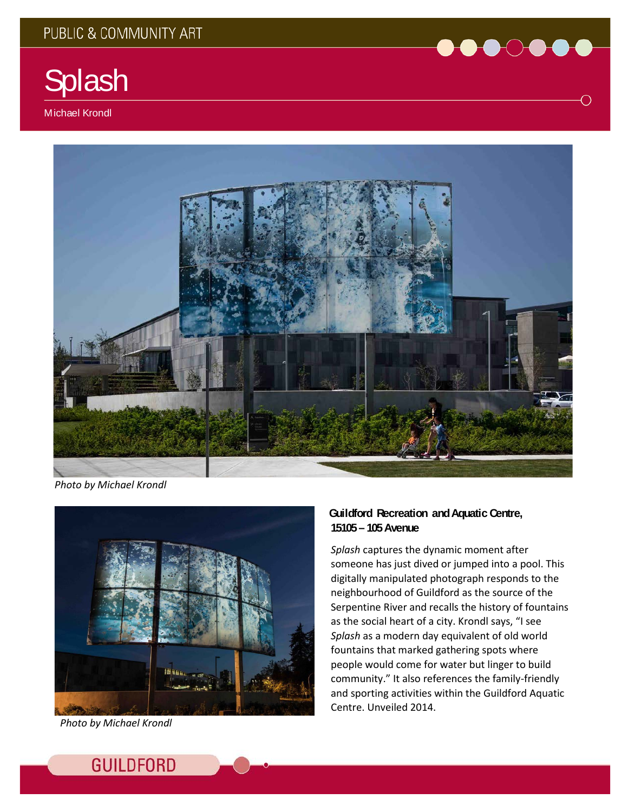

Michael Krondl



*Photo by Michael Krondl*



*Photo by Michael Krondl*

## **Guildford Recreation andAquatic Centre, 15105 – 105 Avenue**

*Splash* captures the dynamic moment after someone has just dived or jumped into a pool. This digitally manipulated photograph responds to the neighbourhood of Guildford as the source of the Serpentine River and recalls the history of fountains as the social heart of a city. Krondl says, "I see *Splash* as a modern day equivalent of old world fountains that marked gathering spots where people would come for water but linger to build community." It also references the family-friendly and sporting activities within the Guildford Aquatic Centre. Unveiled 2014.